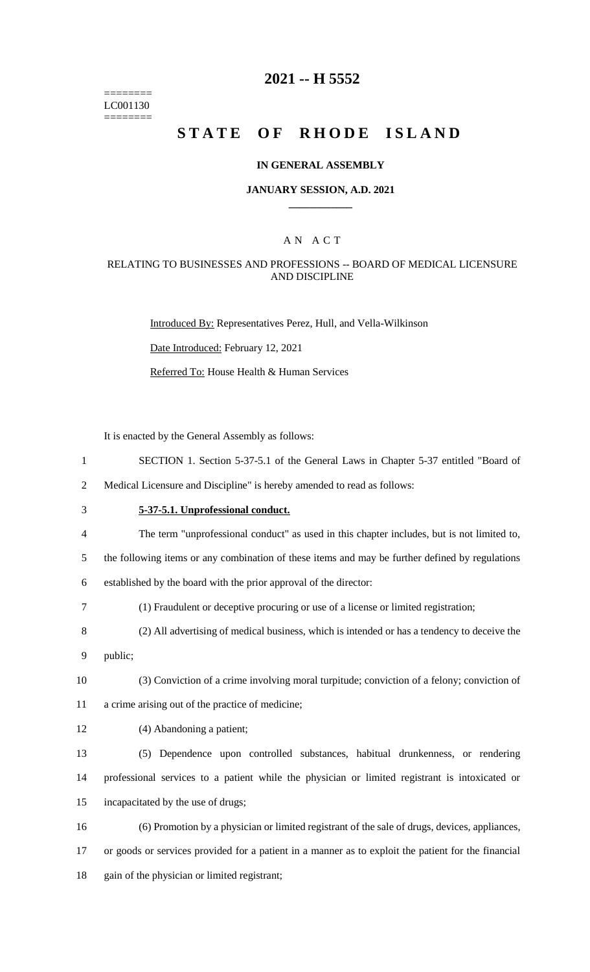======== LC001130 ========

### **2021 -- H 5552**

# **STATE OF RHODE ISLAND**

#### **IN GENERAL ASSEMBLY**

### **JANUARY SESSION, A.D. 2021 \_\_\_\_\_\_\_\_\_\_\_\_**

### A N A C T

### RELATING TO BUSINESSES AND PROFESSIONS -- BOARD OF MEDICAL LICENSURE AND DISCIPLINE

Introduced By: Representatives Perez, Hull, and Vella-Wilkinson

Date Introduced: February 12, 2021

Referred To: House Health & Human Services

It is enacted by the General Assembly as follows:

1 SECTION 1. Section 5-37-5.1 of the General Laws in Chapter 5-37 entitled "Board of

2 Medical Licensure and Discipline" is hereby amended to read as follows:

# 3 **5-37-5.1. Unprofessional conduct.**

4 The term "unprofessional conduct" as used in this chapter includes, but is not limited to,

5 the following items or any combination of these items and may be further defined by regulations

6 established by the board with the prior approval of the director:

- 7 (1) Fraudulent or deceptive procuring or use of a license or limited registration;
- 8 (2) All advertising of medical business, which is intended or has a tendency to deceive the
- 9 public;
- 10 (3) Conviction of a crime involving moral turpitude; conviction of a felony; conviction of 11 a crime arising out of the practice of medicine;
- 12 (4) Abandoning a patient;

13 (5) Dependence upon controlled substances, habitual drunkenness, or rendering 14 professional services to a patient while the physician or limited registrant is intoxicated or 15 incapacitated by the use of drugs;

16 (6) Promotion by a physician or limited registrant of the sale of drugs, devices, appliances, 17 or goods or services provided for a patient in a manner as to exploit the patient for the financial 18 gain of the physician or limited registrant;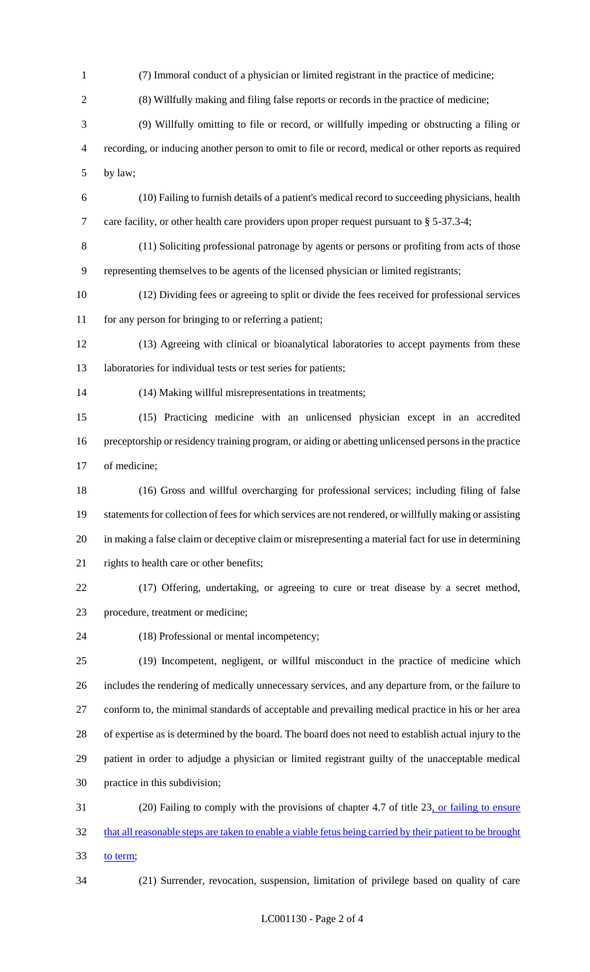(7) Immoral conduct of a physician or limited registrant in the practice of medicine; (8) Willfully making and filing false reports or records in the practice of medicine; (9) Willfully omitting to file or record, or willfully impeding or obstructing a filing or recording, or inducing another person to omit to file or record, medical or other reports as required by law; (10) Failing to furnish details of a patient's medical record to succeeding physicians, health care facility, or other health care providers upon proper request pursuant to § 5-37.3-4; (11) Soliciting professional patronage by agents or persons or profiting from acts of those representing themselves to be agents of the licensed physician or limited registrants; (12) Dividing fees or agreeing to split or divide the fees received for professional services 11 for any person for bringing to or referring a patient; (13) Agreeing with clinical or bioanalytical laboratories to accept payments from these laboratories for individual tests or test series for patients; (14) Making willful misrepresentations in treatments; (15) Practicing medicine with an unlicensed physician except in an accredited preceptorship or residency training program, or aiding or abetting unlicensed persons in the practice of medicine; (16) Gross and willful overcharging for professional services; including filing of false statements for collection of fees for which services are not rendered, or willfully making or assisting in making a false claim or deceptive claim or misrepresenting a material fact for use in determining 21 rights to health care or other benefits; (17) Offering, undertaking, or agreeing to cure or treat disease by a secret method, procedure, treatment or medicine; (18) Professional or mental incompetency; (19) Incompetent, negligent, or willful misconduct in the practice of medicine which includes the rendering of medically unnecessary services, and any departure from, or the failure to conform to, the minimal standards of acceptable and prevailing medical practice in his or her area of expertise as is determined by the board. The board does not need to establish actual injury to the patient in order to adjudge a physician or limited registrant guilty of the unacceptable medical practice in this subdivision; (20) Failing to comply with the provisions of chapter 4.7 of title 23, or failing to ensure 32 that all reasonable steps are taken to enable a viable fetus being carried by their patient to be brought 33 to term; (21) Surrender, revocation, suspension, limitation of privilege based on quality of care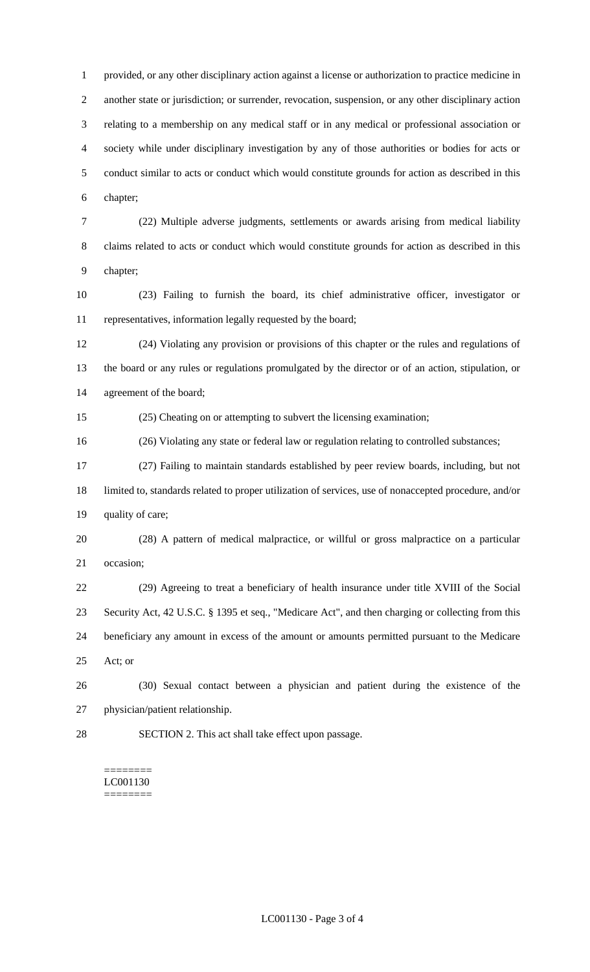provided, or any other disciplinary action against a license or authorization to practice medicine in another state or jurisdiction; or surrender, revocation, suspension, or any other disciplinary action relating to a membership on any medical staff or in any medical or professional association or society while under disciplinary investigation by any of those authorities or bodies for acts or conduct similar to acts or conduct which would constitute grounds for action as described in this chapter;

 (22) Multiple adverse judgments, settlements or awards arising from medical liability claims related to acts or conduct which would constitute grounds for action as described in this chapter;

 (23) Failing to furnish the board, its chief administrative officer, investigator or representatives, information legally requested by the board;

 (24) Violating any provision or provisions of this chapter or the rules and regulations of the board or any rules or regulations promulgated by the director or of an action, stipulation, or agreement of the board;

(25) Cheating on or attempting to subvert the licensing examination;

(26) Violating any state or federal law or regulation relating to controlled substances;

 (27) Failing to maintain standards established by peer review boards, including, but not limited to, standards related to proper utilization of services, use of nonaccepted procedure, and/or quality of care;

 (28) A pattern of medical malpractice, or willful or gross malpractice on a particular occasion;

 (29) Agreeing to treat a beneficiary of health insurance under title XVIII of the Social Security Act, 42 U.S.C. § 1395 et seq., "Medicare Act", and then charging or collecting from this beneficiary any amount in excess of the amount or amounts permitted pursuant to the Medicare Act; or

 (30) Sexual contact between a physician and patient during the existence of the physician/patient relationship.

SECTION 2. This act shall take effect upon passage.

======== LC001130 ========